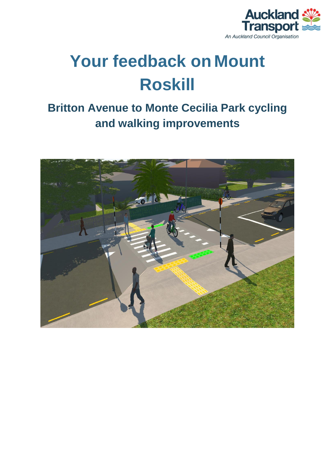

# **Your feedback on Mount Roskill**

## **Britton Avenue to Monte Cecilia Park cycling and walking improvements**

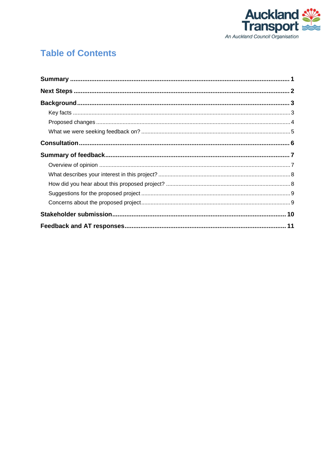

### **Table of Contents**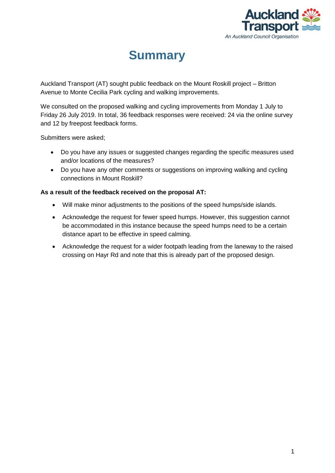

### **Summary**

<span id="page-2-0"></span>Auckland Transport (AT) sought public feedback on the Mount Roskill project – Britton Avenue to Monte Cecilia Park cycling and walking improvements.

We consulted on the proposed walking and cycling improvements from Monday 1 July to Friday 26 July 2019. In total, 36 feedback responses were received: 24 via the online survey and 12 by freepost feedback forms.

Submitters were asked;

- Do you have any issues or suggested changes regarding the specific measures used and/or locations of the measures?
- Do you have any other comments or suggestions on improving walking and cycling connections in Mount Roskill?

#### **As a result of the feedback received on the proposal AT:**

- Will make minor adjustments to the positions of the speed humps/side islands.
- Acknowledge the request for fewer speed humps. However, this suggestion cannot be accommodated in this instance because the speed humps need to be a certain distance apart to be effective in speed calming.
- Acknowledge the request for a wider footpath leading from the laneway to the raised crossing on Hayr Rd and note that this is already part of the proposed design.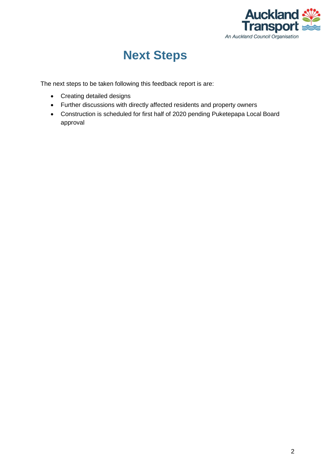

### **Next Steps**

<span id="page-3-0"></span>The next steps to be taken following this feedback report is are:

- Creating detailed designs
- Further discussions with directly affected residents and property owners
- Construction is scheduled for first half of 2020 pending Puketepapa Local Board approval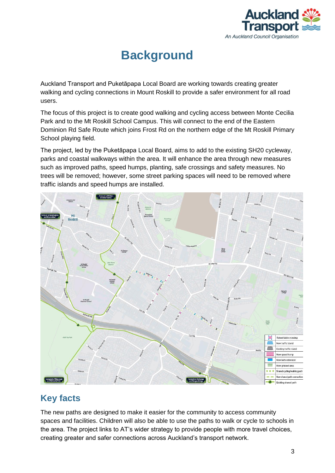

# **Background**

<span id="page-4-0"></span>Auckland Transport and Puketāpapa Local Board are working towards creating greater walking and cycling connections in Mount Roskill to provide a safer environment for all road users.

The focus of this project is to create good walking and cycling access between Monte Cecilia Park and to the Mt Roskill School Campus. This will connect to the end of the Eastern Dominion Rd Safe Route which joins Frost Rd on the northern edge of the Mt Roskill Primary School playing field.

The project, led by the Puketāpapa Local Board, aims to add to the existing SH20 cycleway, parks and coastal walkways within the area. It will enhance the area through new measures such as improved paths, speed humps, planting, safe crossings and safety measures. No trees will be removed; however, some street parking spaces will need to be removed where traffic islands and speed humps are installed.



#### <span id="page-4-1"></span>**Key facts**

The new paths are designed to make it easier for the community to access community spaces and facilities. Children will also be able to use the paths to walk or cycle to schools in the area. The project links to AT's wider strategy to provide people with more travel choices, creating greater and safer connections across Auckland's transport network.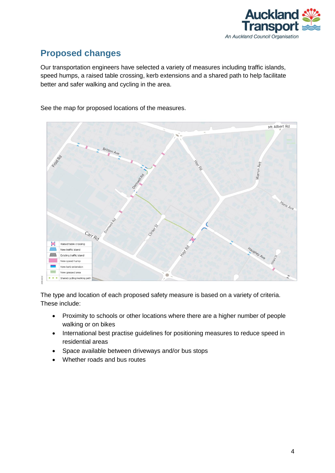

### <span id="page-5-0"></span>**Proposed changes**

Our transportation engineers have selected a variety of measures including traffic islands, speed humps, a raised table crossing, kerb extensions and a shared path to help facilitate better and safer walking and cycling in the area.

See the map for proposed locations of the measures.



The type and location of each proposed safety measure is based on a variety of criteria. These include:

- Proximity to schools or other locations where there are a higher number of people walking or on bikes
- International best practise guidelines for positioning measures to reduce speed in residential areas
- Space available between driveways and/or bus stops
- Whether roads and bus routes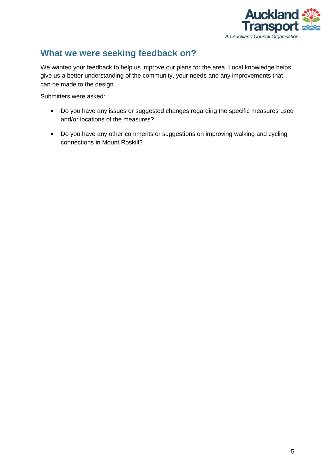

#### <span id="page-6-0"></span>**What we were seeking feedback on?**

We wanted your feedback to help us improve our plans for the area. Local knowledge helps give us a better understanding of the community, your needs and any improvements that can be made to the design.

Submitters were asked:

- Do you have any issues or suggested changes regarding the specific measures used and/or locations of the measures?
- Do you have any other comments or suggestions on improving walking and cycling connections in Mount Roskill?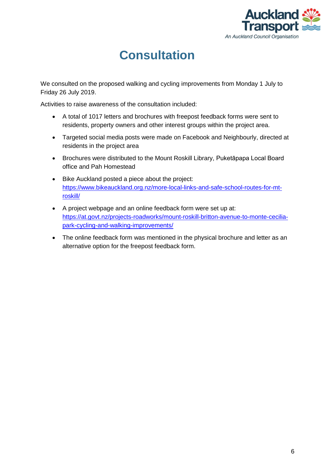

## **Consultation**

<span id="page-7-0"></span>We consulted on the proposed walking and cycling improvements from Monday 1 July to Friday 26 July 2019.

Activities to raise awareness of the consultation included:

- A total of 1017 letters and brochures with freepost feedback forms were sent to residents, property owners and other interest groups within the project area.
- Targeted social media posts were made on Facebook and Neighbourly, directed at residents in the project area
- Brochures were distributed to the Mount Roskill Library, Puketāpapa Local Board office and Pah Homestead
- Bike Auckland posted a piece about the project: [https://www.bikeauckland.org.nz/more-local-links-and-safe-school-routes-for-mt](https://www.bikeauckland.org.nz/more-local-links-and-safe-school-routes-for-mt-roskill/)[roskill/](https://www.bikeauckland.org.nz/more-local-links-and-safe-school-routes-for-mt-roskill/)
- A project webpage and an online feedback form were set up at: [https://at.govt.nz/projects-roadworks/mount-roskill-britton-avenue-to-monte-cecilia](https://at.govt.nz/projects-roadworks/mount-roskill-britton-avenue-to-monte-cecilia-park-cycling-and-walking-improvements/)[park-cycling-and-walking-improvements/](https://at.govt.nz/projects-roadworks/mount-roskill-britton-avenue-to-monte-cecilia-park-cycling-and-walking-improvements/)
- The online feedback form was mentioned in the physical brochure and letter as an alternative option for the freepost feedback form.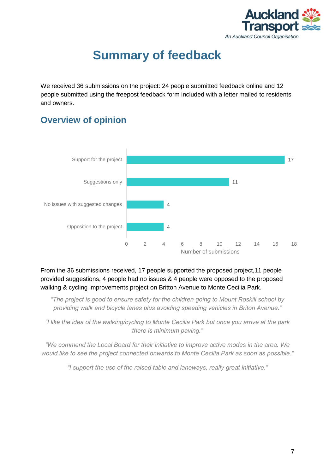

## **Summary of feedback**

<span id="page-8-0"></span>We received 36 submissions on the project: 24 people submitted feedback online and 12 people submitted using the freepost feedback form included with a letter mailed to residents and owners.

#### <span id="page-8-1"></span>**Overview of opinion**



From the 36 submissions received, 17 people supported the proposed project,11 people provided suggestions, 4 people had no issues & 4 people were opposed to the proposed walking & cycling improvements project on Britton Avenue to Monte Cecilia Park.

*"The project is good to ensure safety for the children going to Mount Roskill school by providing walk and bicycle lanes plus avoiding speeding vehicles in Briton Avenue."*

*"I like the idea of the walking/cycling to Monte Cecilia Park but once you arrive at the park there is minimum paving."*

*"We commend the Local Board for their initiative to improve active modes in the area. We would like to see the project connected onwards to Monte Cecilia Park as soon as possible."*

*"I support the use of the raised table and laneways, really great initiative."*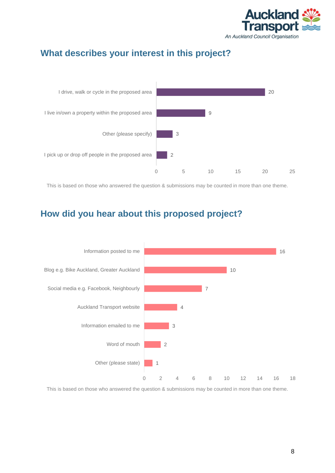

### <span id="page-9-0"></span>**What describes your interest in this project?**



This is based on those who answered the question & submissions may be counted in more than one theme.

### <span id="page-9-1"></span>**How did you hear about this proposed project?**



This is based on those who answered the question & submissions may be counted in more than one theme.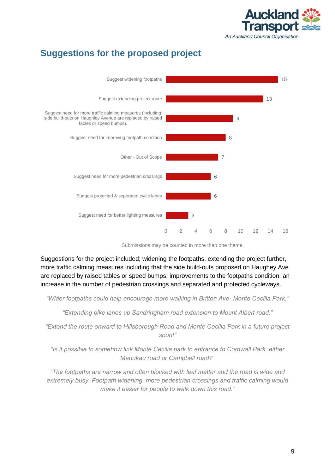

### <span id="page-10-0"></span>**Suggestions for the proposed project**



Submissions may be counted in more than one theme.

Suggestions for the project included; widening the footpaths, extending the project further, more traffic calming measures including that the side build-outs proposed on Haughey Ave are replaced by raised tables or speed bumps, improvements to the footpaths condition, an increase in the number of pedestrian crossings and separated and protected cycleways.

*"Wider footpaths could help encourage more walking in Britton Ave- Monte Cecilia Park."*

*"Extending bike lanes up Sandringham road extension to Mount Albert road."*

*"Extend the route onward to Hillsborough Road and Monte Cecilia Park in a future project soon!"*

*"Is it possible to somehow link Monte Cecilia park to entrance to Cornwall Park, either Manukau road or Campbell road?"*

*"The footpaths are narrow and often blocked with leaf matter and the road is wide and extremely busy. Footpath widening, more pedestrian crossings and traffic calming would make it easier for people to walk down this road."*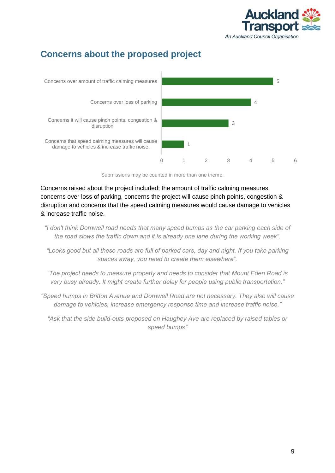

### <span id="page-11-0"></span>**Concerns about the proposed project**



Submissions may be counted in more than one theme.

Concerns raised about the project included; the amount of traffic calming measures, concerns over loss of parking, concerns the project will cause pinch points, congestion & disruption and concerns that the speed calming measures would cause damage to vehicles & increase traffic noise.

- *"I don't think Dornwell road needs that many speed bumps as the car parking each side of the road slows the traffic down and it is already one lane during the working week".*
- *"Looks good but all these roads are full of parked cars, day and night. If you take parking spaces away, you need to create them elsewhere".*

*"The project needs to measure properly and needs to consider that Mount Eden Road is very busy already. It might create further delay for people using public transportation."*

*"Speed humps in Britton Avenue and Dornwell Road are not necessary. They also will cause damage to vehicles, increase emergency response time and increase traffic noise."*

*"Ask that the side build-outs proposed on Haughey Ave are replaced by raised tables or speed bumps"*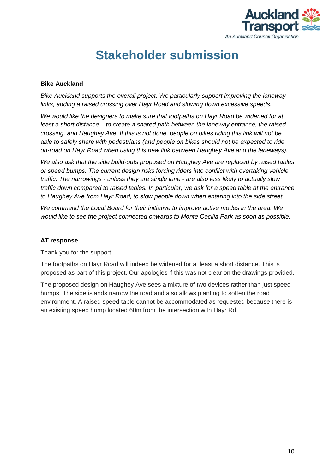

### **Stakeholder submission**

#### <span id="page-12-0"></span>**Bike Auckland**

*Bike Auckland supports the overall project. We particularly support improving the laneway links, adding a raised crossing over Hayr Road and slowing down excessive speeds.*

*We would like the designers to make sure that footpaths on Hayr Road be widened for at least a short distance – to create a shared path between the laneway entrance, the raised crossing, and Haughey Ave. If this is not done, people on bikes riding this link will not be able to safely share with pedestrians (and people on bikes should not be expected to ride on-road on Hayr Road when using this new link between Haughey Ave and the laneways).* 

*We also ask that the side build-outs proposed on Haughey Ave are replaced by raised tables or speed bumps. The current design risks forcing riders into conflict with overtaking vehicle traffic. The narrowings - unless they are single lane - are also less likely to actually slow traffic down compared to raised tables. In particular, we ask for a speed table at the entrance to Haughey Ave from Hayr Road, to slow people down when entering into the side street.*

*We commend the Local Board for their initiative to improve active modes in the area. We would like to see the project connected onwards to Monte Cecilia Park as soon as possible.*

#### **AT response**

Thank you for the support.

The footpaths on Hayr Road will indeed be widened for at least a short distance. This is proposed as part of this project. Our apologies if this was not clear on the drawings provided.

The proposed design on Haughey Ave sees a mixture of two devices rather than just speed humps. The side islands narrow the road and also allows planting to soften the road environment. A raised speed table cannot be accommodated as requested because there is an existing speed hump located 60m from the intersection with Hayr Rd.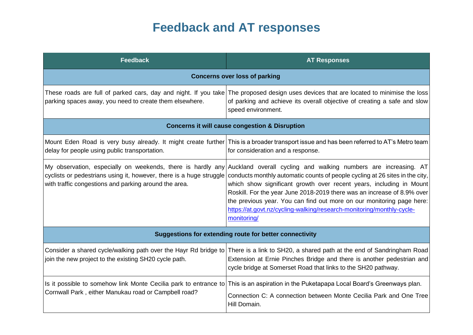# **Feedback and AT responses**

<span id="page-13-0"></span>

| <b>Feedback</b>                                           | <b>AT Responses</b>                                                                                                                                                                                                                                                                                                                                                                                                                                                                                                                                                                                |  |
|-----------------------------------------------------------|----------------------------------------------------------------------------------------------------------------------------------------------------------------------------------------------------------------------------------------------------------------------------------------------------------------------------------------------------------------------------------------------------------------------------------------------------------------------------------------------------------------------------------------------------------------------------------------------------|--|
| <b>Concerns over loss of parking</b>                      |                                                                                                                                                                                                                                                                                                                                                                                                                                                                                                                                                                                                    |  |
| parking spaces away, you need to create them elsewhere.   | These roads are full of parked cars, day and night. If you take The proposed design uses devices that are located to minimise the loss<br>of parking and achieve its overall objective of creating a safe and slow<br>speed environment.                                                                                                                                                                                                                                                                                                                                                           |  |
| <b>Concerns it will cause congestion &amp; Disruption</b> |                                                                                                                                                                                                                                                                                                                                                                                                                                                                                                                                                                                                    |  |
| delay for people using public transportation.             | Mount Eden Road is very busy already. It might create further This is a broader transport issue and has been referred to AT's Metro team<br>for consideration and a response.                                                                                                                                                                                                                                                                                                                                                                                                                      |  |
| with traffic congestions and parking around the area.     | My observation, especially on weekends, there is hardly any Auckland overall cycling and walking numbers are increasing. AT<br>cyclists or pedestrians using it, however, there is a huge struggle conducts monthly automatic counts of people cycling at 26 sites in the city,<br>which show significant growth over recent years, including in Mount<br>Roskill. For the year June 2018-2019 there was an increase of 8.9% over<br>the previous year. You can find out more on our monitoring page here:<br>https://at.govt.nz/cycling-walking/research-monitoring/monthly-cycle-<br>monitoring/ |  |
| Suggestions for extending route for better connectivity   |                                                                                                                                                                                                                                                                                                                                                                                                                                                                                                                                                                                                    |  |
| join the new project to the existing SH20 cycle path.     | Consider a shared cycle/walking path over the Hayr Rd bridge to There is a link to SH20, a shared path at the end of Sandringham Road<br>Extension at Ernie Pinches Bridge and there is another pedestrian and<br>cycle bridge at Somerset Road that links to the SH20 pathway.                                                                                                                                                                                                                                                                                                                    |  |
| Cornwall Park, either Manukau road or Campbell road?      | Is it possible to somehow link Monte Cecilia park to entrance to This is an aspiration in the Puketapapa Local Board's Greenways plan.<br>Connection C: A connection between Monte Cecilia Park and One Tree<br>Hill Domain.                                                                                                                                                                                                                                                                                                                                                                       |  |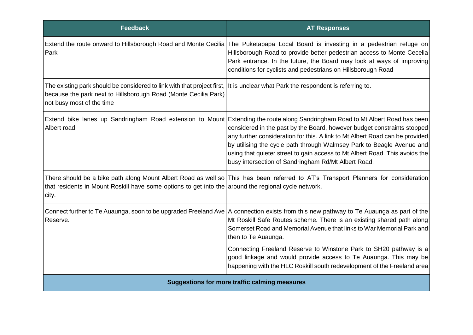| <b>Feedback</b>                                                                                                                                                                                                                 | <b>AT Responses</b>                                                                                                                                                                                                                                                                                                                                                                                                                                                                                      |
|---------------------------------------------------------------------------------------------------------------------------------------------------------------------------------------------------------------------------------|----------------------------------------------------------------------------------------------------------------------------------------------------------------------------------------------------------------------------------------------------------------------------------------------------------------------------------------------------------------------------------------------------------------------------------------------------------------------------------------------------------|
| Extend the route onward to Hillsborough Road and Monte Cecilia<br>Park                                                                                                                                                          | The Puketapapa Local Board is investing in a pedestrian refuge on<br>Hillsborough Road to provide better pedestrian access to Monte Cecelia<br>Park entrance. In the future, the Board may look at ways of improving<br>conditions for cyclists and pedestrians on Hillsborough Road                                                                                                                                                                                                                     |
| The existing park should be considered to link with that project first, It is unclear what Park the respondent is referring to.<br>because the park next to Hillsborough Road (Monte Cecilia Park)<br>not busy most of the time |                                                                                                                                                                                                                                                                                                                                                                                                                                                                                                          |
| Albert road.                                                                                                                                                                                                                    | Extend bike lanes up Sandringham Road extension to Mount Extending the route along Sandringham Road to Mt Albert Road has been<br>considered in the past by the Board, however budget constraints stopped<br>any further consideration for this. A link to Mt Albert Road can be provided<br>by utilising the cycle path through Walmsey Park to Beagle Avenue and<br>using that quieter street to gain access to Mt Albert Road. This avoids the<br>busy intersection of Sandringham Rd/Mt Albert Road. |
| that residents in Mount Roskill have some options to get into the around the regional cycle network.<br>city.                                                                                                                   | There should be a bike path along Mount Albert Road as well so This has been referred to AT's Transport Planners for consideration                                                                                                                                                                                                                                                                                                                                                                       |
| Reserve.                                                                                                                                                                                                                        | Connect further to Te Auaunga, soon to be upgraded Freeland Ave   A connection exists from this new pathway to Te Auaunga as part of the<br>Mt Roskill Safe Routes scheme. There is an existing shared path along<br>Somerset Road and Memorial Avenue that links to War Memorial Park and<br>then to Te Auaunga.                                                                                                                                                                                        |
|                                                                                                                                                                                                                                 | Connecting Freeland Reserve to Winstone Park to SH20 pathway is a<br>good linkage and would provide access to Te Auaunga. This may be<br>happening with the HLC Roskill south redevelopment of the Freeland area                                                                                                                                                                                                                                                                                         |
| <b>Suggestions for more traffic calming measures</b>                                                                                                                                                                            |                                                                                                                                                                                                                                                                                                                                                                                                                                                                                                          |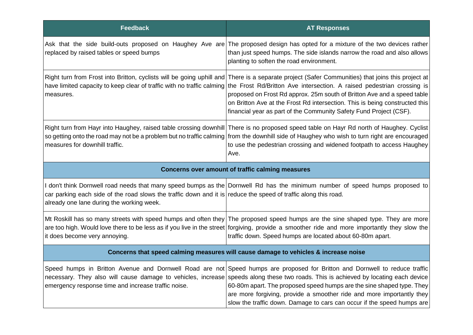| <b>Feedback</b>                                                                                                                                              | <b>AT Responses</b>                                                                                                                                                                                                                                                                                                                                                                                                                                                                                                               |
|--------------------------------------------------------------------------------------------------------------------------------------------------------------|-----------------------------------------------------------------------------------------------------------------------------------------------------------------------------------------------------------------------------------------------------------------------------------------------------------------------------------------------------------------------------------------------------------------------------------------------------------------------------------------------------------------------------------|
| replaced by raised tables or speed bumps                                                                                                                     | Ask that the side build-outs proposed on Haughey Ave are The proposed design has opted for a mixture of the two devices rather<br>than just speed humps. The side islands narrow the road and also allows<br>planting to soften the road environment.                                                                                                                                                                                                                                                                             |
| measures.                                                                                                                                                    | Right turn from Frost into Britton, cyclists will be going uphill and There is a separate project (Safer Communities) that joins this project at<br>have limited capacity to keep clear of traffic with no traffic calming the Frost Rd/Britton Ave intersection. A raised pedestrian crossing is<br>proposed on Frost Rd approx. 25m south of Britton Ave and a speed table<br>on Britton Ave at the Frost Rd intersection. This is being constructed this<br>financial year as part of the Community Safety Fund Project (CSF). |
| measures for downhill traffic.                                                                                                                               | Right turn from Hayr into Haughey, raised table crossing downhill There is no proposed speed table on Hayr Rd north of Haughey. Cyclist<br>so getting onto the road may not be a problem but no traffic calming from the downhill side of Haughey who wish to turn right are encouraged<br>to use the pedestrian crossing and widened footpath to access Haughey<br>Ave.                                                                                                                                                          |
| <b>Concerns over amount of traffic calming measures</b>                                                                                                      |                                                                                                                                                                                                                                                                                                                                                                                                                                                                                                                                   |
| car parking each side of the road slows the traffic down and it is reduce the speed of traffic along this road.<br>already one lane during the working week. | don't think Dornwell road needs that many speed bumps as the Dornwell Rd has the minimum number of speed humps proposed to                                                                                                                                                                                                                                                                                                                                                                                                        |
| it does become very annoying.                                                                                                                                | Mt Roskill has so many streets with speed humps and often they The proposed speed humps are the sine shaped type. They are more<br>are too high. Would love there to be less as if you live in the street forgiving, provide a smoother ride and more importantly they slow the<br>traffic down. Speed humps are located about 60-80m apart.                                                                                                                                                                                      |
| Concerns that speed calming measures will cause damage to vehicles & increase noise                                                                          |                                                                                                                                                                                                                                                                                                                                                                                                                                                                                                                                   |
| emergency response time and increase traffic noise.                                                                                                          | Speed humps in Britton Avenue and Dornwell Road are not Speed humps are proposed for Britton and Dornwell to reduce traffic<br>necessary. They also will cause damage to vehicles, increase speeds along these two roads. This is achieved by locating each device<br>60-80m apart. The proposed speed humps are the sine shaped type. They<br>are more forgiving, provide a smoother ride and more importantly they<br>slow the traffic down. Damage to cars can occur if the speed humps are                                    |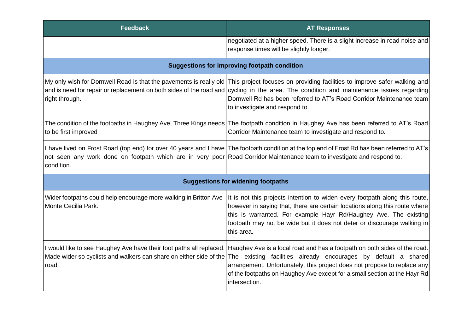| <b>Feedback</b>                                                                                                                       | <b>AT Responses</b>                                                                                                                                                                                                                                                                                                                                                                               |  |
|---------------------------------------------------------------------------------------------------------------------------------------|---------------------------------------------------------------------------------------------------------------------------------------------------------------------------------------------------------------------------------------------------------------------------------------------------------------------------------------------------------------------------------------------------|--|
|                                                                                                                                       | negotiated at a higher speed. There is a slight increase in road noise and<br>response times will be slightly longer.                                                                                                                                                                                                                                                                             |  |
| <b>Suggestions for improving footpath condition</b>                                                                                   |                                                                                                                                                                                                                                                                                                                                                                                                   |  |
| right through.                                                                                                                        | My only wish for Dornwell Road is that the pavements is really old This project focuses on providing facilities to improve safer walking and<br>and is need for repair or replacement on both sides of the road and cycling in the area. The condition and maintenance issues regarding<br>Dornwell Rd has been referred to AT's Road Corridor Maintenance team<br>to investigate and respond to. |  |
| to be first improved                                                                                                                  | The condition of the footpaths in Haughey Ave, Three Kings needs The footpath condition in Haughey Ave has been referred to AT's Road<br>Corridor Maintenance team to investigate and respond to.                                                                                                                                                                                                 |  |
| not seen any work done on footpath which are in very poor Road Corridor Maintenance team to investigate and respond to.<br>condition. | I have lived on Frost Road (top end) for over 40 years and I have The footpath condition at the top end of Frost Rd has been referred to AT's                                                                                                                                                                                                                                                     |  |
| <b>Suggestions for widening footpaths</b>                                                                                             |                                                                                                                                                                                                                                                                                                                                                                                                   |  |
| Wider footpaths could help encourage more walking in Britton Ave-<br>Monte Cecilia Park.                                              | It is not this projects intention to widen every footpath along this route,<br>however in saying that, there are certain locations along this route where<br>this is warranted. For example Hayr Rd/Haughey Ave. The existing<br>footpath may not be wide but it does not deter or discourage walking in<br>this area.                                                                            |  |
| Made wider so cyclists and walkers can share on either side of the<br>road.                                                           | I would like to see Haughey Ave have their foot paths all replaced. Haughey Ave is a local road and has a footpath on both sides of the road.<br>The existing facilities already encourages by default a shared<br>arrangement. Unfortunately, this project does not propose to replace any<br>of the footpaths on Haughey Ave except for a small section at the Hayr Rd<br>intersection.         |  |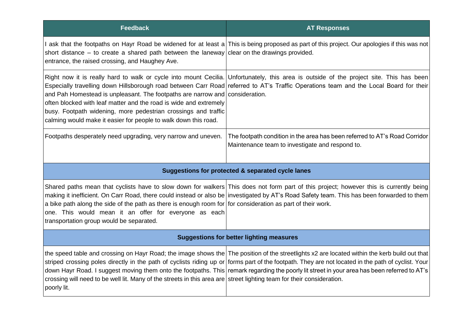| <b>Feedback</b>                                                                                                                                                                                                                                                                        | <b>AT Responses</b>                                                                                                                                                                                                                                                                                                                                                                                                                                 |  |
|----------------------------------------------------------------------------------------------------------------------------------------------------------------------------------------------------------------------------------------------------------------------------------------|-----------------------------------------------------------------------------------------------------------------------------------------------------------------------------------------------------------------------------------------------------------------------------------------------------------------------------------------------------------------------------------------------------------------------------------------------------|--|
| short distance – to create a shared path between the laneway clear on the drawings provided.<br>entrance, the raised crossing, and Haughey Ave.                                                                                                                                        | ask that the footpaths on Hayr Road be widened for at least a This is being proposed as part of this project. Our apologies if this was not                                                                                                                                                                                                                                                                                                         |  |
| and Pah Homestead is unpleasant. The footpaths are narrow and consideration.<br>often blocked with leaf matter and the road is wide and extremely<br>busy. Footpath widening, more pedestrian crossings and traffic<br>calming would make it easier for people to walk down this road. | Right now it is really hard to walk or cycle into mount Cecilia. Unfortunately, this area is outside of the project site. This has been<br>Especially travelling down Hillsborough road between Carr Road referred to AT's Traffic Operations team and the Local Board for their                                                                                                                                                                    |  |
| Footpaths desperately need upgrading, very narrow and uneven.                                                                                                                                                                                                                          | The footpath condition in the area has been referred to AT's Road Corridor<br>Maintenance team to investigate and respond to.                                                                                                                                                                                                                                                                                                                       |  |
| Suggestions for protected & separated cycle lanes                                                                                                                                                                                                                                      |                                                                                                                                                                                                                                                                                                                                                                                                                                                     |  |
| a bike path along the side of the path as there is enough room for for consideration as part of their work.<br>one. This would mean it an offer for everyone as each<br>transportation group would be separated.                                                                       | Shared paths mean that cyclists have to slow down for walkers This does not form part of this project; however this is currently being<br>making it inefficient. On Carr Road, there could instead or also be investigated by AT's Road Safety team. This has been forwarded to them                                                                                                                                                                |  |
| <b>Suggestions for better lighting measures</b>                                                                                                                                                                                                                                        |                                                                                                                                                                                                                                                                                                                                                                                                                                                     |  |
| crossing will need to be well lit. Many of the streets in this area are street lighting team for their consideration.<br>poorly lit.                                                                                                                                                   | the speed table and crossing on Hayr Road; the image shows the The position of the streetlights x2 are located within the kerb build out that<br>striped crossing poles directly in the path of cyclists riding up or forms part of the footpath. They are not located in the path of cyclist. Your<br>down Hayr Road. I suggest moving them onto the footpaths. This remark regarding the poorly lit street in your area has been referred to AT's |  |